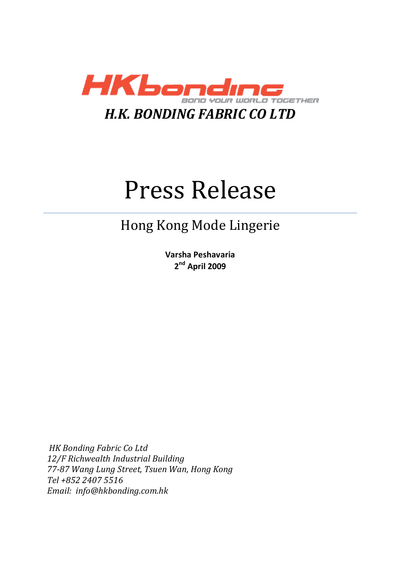

# Press Release

## Hong Kong Mode Lingerie

**Varsha Peshavaria 2 nd April 2009**

*HK Bonding Fabric Co Ltd 12/F Richwealth Industrial Building 77-87 Wang Lung Street, Tsuen Wan, Hong Kong Tel +852 2407 5516 Email: info@hkbonding.com.hk*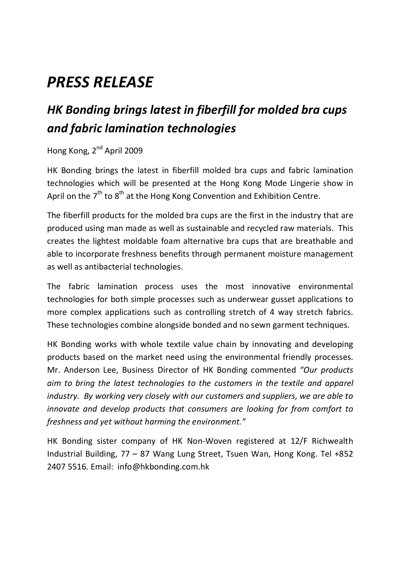# *PRESS RELEASE*

## *HK Bonding brings latest in fiberfill for molded bra cups and fabric lamination technologies*

#### Hong Kong, 2<sup>nd</sup> April 2009

HK Bonding brings the latest in fiberfill molded bra cups and fabric lamination technologies which will be presented at the Hong Kong Mode Lingerie show in April on the  $7^{\text{th}}$  to  $8^{\text{th}}$  at the Hong Kong Convention and Exhibition Centre.

The fiberfill products for the molded bra cups are the first in the industry that are produced using man made as well as sustainable and recycled raw materials. This creates the lightest moldable foam alternative bra cups that are breathable and able to incorporate freshness benefits through permanent moisture management as well as antibacterial technologies.

The fabric lamination process uses the most innovative environmental technologies for both simple processes such as underwear gusset applications to more complex applications such as controlling stretch of 4 way stretch fabrics. These technologies combine alongside bonded and no sewn garment techniques.

HK Bonding works with whole textile value chain by innovating and developing products based on the market need using the environmental friendly processes. Mr. Anderson Lee, Business Director of HK Bonding commented *"Our products aim to bring the latest technologies to the customers in the textile and apparel industry. By working very closely with our customers and suppliers, we are able to innovate and develop products that consumers are looking for from comfort to freshness and yet without harming the environment."* 

HK Bonding sister company of HK Non-Woven registered at 12/F Richwealth Industrial Building, 77 – 87 Wang Lung Street, Tsuen Wan, Hong Kong. Tel +852 2407 5516. Email: info@hkbonding.com.hk